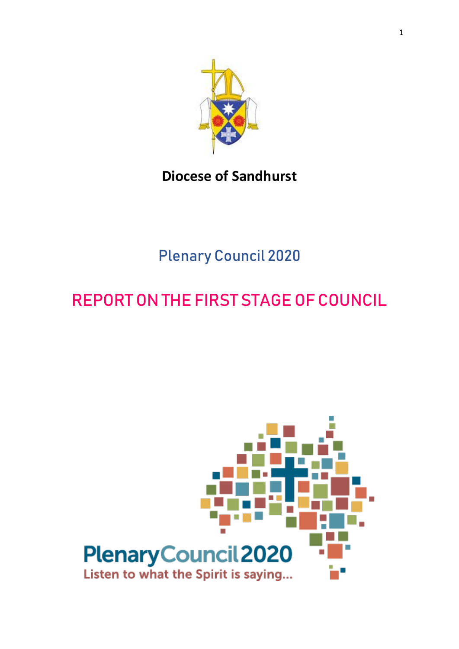

# **Diocese of Sandhurst**

# Plenary Council 2020

# REPORT ON THE FIRST STAGE OF COUNCIL

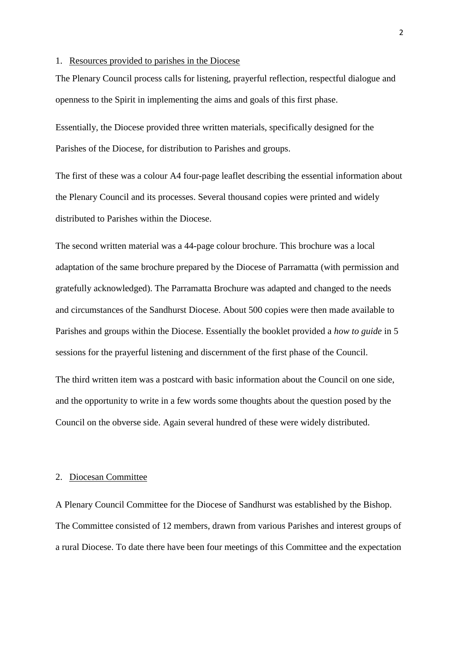#### 1. Resources provided to parishes in the Diocese

The Plenary Council process calls for listening, prayerful reflection, respectful dialogue and openness to the Spirit in implementing the aims and goals of this first phase.

Essentially, the Diocese provided three written materials, specifically designed for the Parishes of the Diocese, for distribution to Parishes and groups.

The first of these was a colour A4 four-page leaflet describing the essential information about the Plenary Council and its processes. Several thousand copies were printed and widely distributed to Parishes within the Diocese.

The second written material was a 44-page colour brochure. This brochure was a local adaptation of the same brochure prepared by the Diocese of Parramatta (with permission and gratefully acknowledged). The Parramatta Brochure was adapted and changed to the needs and circumstances of the Sandhurst Diocese. About 500 copies were then made available to Parishes and groups within the Diocese. Essentially the booklet provided a *how to guide* in 5 sessions for the prayerful listening and discernment of the first phase of the Council.

The third written item was a postcard with basic information about the Council on one side, and the opportunity to write in a few words some thoughts about the question posed by the Council on the obverse side. Again several hundred of these were widely distributed.

#### 2. Diocesan Committee

A Plenary Council Committee for the Diocese of Sandhurst was established by the Bishop. The Committee consisted of 12 members, drawn from various Parishes and interest groups of a rural Diocese. To date there have been four meetings of this Committee and the expectation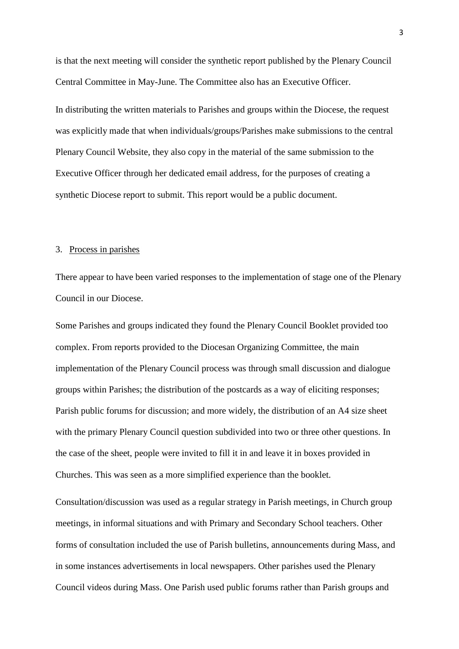is that the next meeting will consider the synthetic report published by the Plenary Council Central Committee in May-June. The Committee also has an Executive Officer.

In distributing the written materials to Parishes and groups within the Diocese, the request was explicitly made that when individuals/groups/Parishes make submissions to the central Plenary Council Website, they also copy in the material of the same submission to the Executive Officer through her dedicated email address, for the purposes of creating a synthetic Diocese report to submit. This report would be a public document.

#### 3. Process in parishes

There appear to have been varied responses to the implementation of stage one of the Plenary Council in our Diocese.

Some Parishes and groups indicated they found the Plenary Council Booklet provided too complex. From reports provided to the Diocesan Organizing Committee, the main implementation of the Plenary Council process was through small discussion and dialogue groups within Parishes; the distribution of the postcards as a way of eliciting responses; Parish public forums for discussion; and more widely, the distribution of an A4 size sheet with the primary Plenary Council question subdivided into two or three other questions. In the case of the sheet, people were invited to fill it in and leave it in boxes provided in Churches. This was seen as a more simplified experience than the booklet.

Consultation/discussion was used as a regular strategy in Parish meetings, in Church group meetings, in informal situations and with Primary and Secondary School teachers. Other forms of consultation included the use of Parish bulletins, announcements during Mass, and in some instances advertisements in local newspapers. Other parishes used the Plenary Council videos during Mass. One Parish used public forums rather than Parish groups and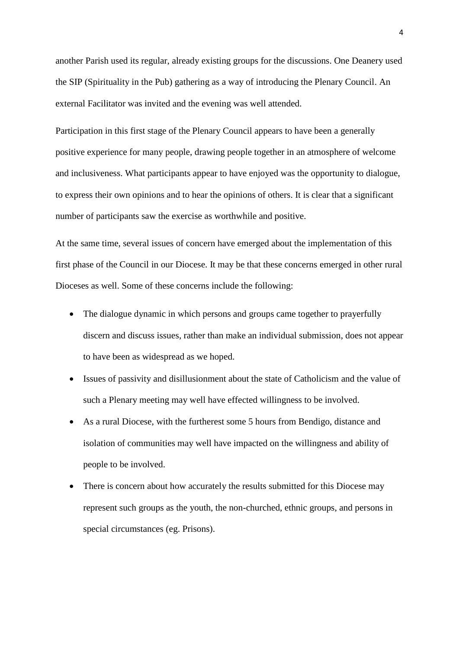another Parish used its regular, already existing groups for the discussions. One Deanery used the SIP (Spirituality in the Pub) gathering as a way of introducing the Plenary Council. An external Facilitator was invited and the evening was well attended.

Participation in this first stage of the Plenary Council appears to have been a generally positive experience for many people, drawing people together in an atmosphere of welcome and inclusiveness. What participants appear to have enjoyed was the opportunity to dialogue, to express their own opinions and to hear the opinions of others. It is clear that a significant number of participants saw the exercise as worthwhile and positive.

At the same time, several issues of concern have emerged about the implementation of this first phase of the Council in our Diocese. It may be that these concerns emerged in other rural Dioceses as well. Some of these concerns include the following:

- The dialogue dynamic in which persons and groups came together to prayerfully discern and discuss issues, rather than make an individual submission, does not appear to have been as widespread as we hoped.
- Issues of passivity and disillusionment about the state of Catholicism and the value of such a Plenary meeting may well have effected willingness to be involved.
- As a rural Diocese, with the furtherest some 5 hours from Bendigo, distance and isolation of communities may well have impacted on the willingness and ability of people to be involved.
- There is concern about how accurately the results submitted for this Diocese may represent such groups as the youth, the non-churched, ethnic groups, and persons in special circumstances (eg. Prisons).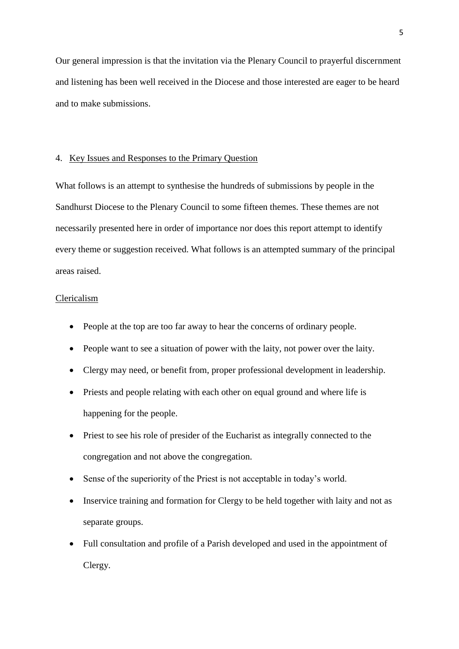Our general impression is that the invitation via the Plenary Council to prayerful discernment and listening has been well received in the Diocese and those interested are eager to be heard and to make submissions.

#### 4. Key Issues and Responses to the Primary Question

What follows is an attempt to synthesise the hundreds of submissions by people in the Sandhurst Diocese to the Plenary Council to some fifteen themes. These themes are not necessarily presented here in order of importance nor does this report attempt to identify every theme or suggestion received. What follows is an attempted summary of the principal areas raised.

#### Clericalism

- People at the top are too far away to hear the concerns of ordinary people.
- People want to see a situation of power with the laity, not power over the laity.
- Clergy may need, or benefit from, proper professional development in leadership.
- Priests and people relating with each other on equal ground and where life is happening for the people.
- Priest to see his role of presider of the Eucharist as integrally connected to the congregation and not above the congregation.
- Sense of the superiority of the Priest is not acceptable in today's world.
- Inservice training and formation for Clergy to be held together with laity and not as separate groups.
- Full consultation and profile of a Parish developed and used in the appointment of Clergy.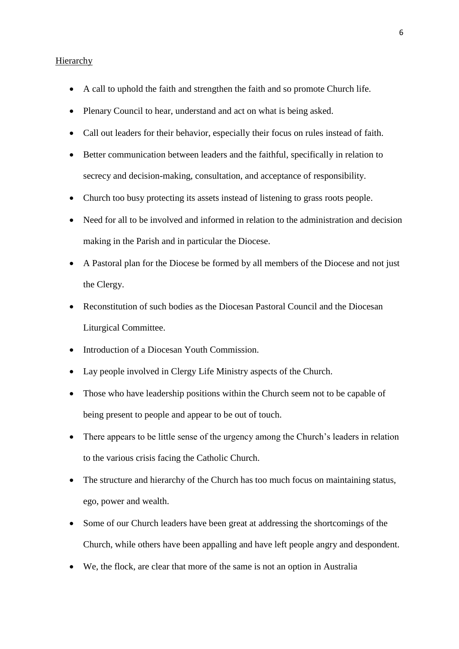#### **Hierarchy**

- A call to uphold the faith and strengthen the faith and so promote Church life.
- Plenary Council to hear, understand and act on what is being asked.
- Call out leaders for their behavior, especially their focus on rules instead of faith.
- Better communication between leaders and the faithful, specifically in relation to secrecy and decision-making, consultation, and acceptance of responsibility.
- Church too busy protecting its assets instead of listening to grass roots people.
- Need for all to be involved and informed in relation to the administration and decision making in the Parish and in particular the Diocese.
- A Pastoral plan for the Diocese be formed by all members of the Diocese and not just the Clergy.
- Reconstitution of such bodies as the Diocesan Pastoral Council and the Diocesan Liturgical Committee.
- Introduction of a Diocesan Youth Commission.
- Lay people involved in Clergy Life Ministry aspects of the Church.
- Those who have leadership positions within the Church seem not to be capable of being present to people and appear to be out of touch.
- There appears to be little sense of the urgency among the Church's leaders in relation to the various crisis facing the Catholic Church.
- The structure and hierarchy of the Church has too much focus on maintaining status, ego, power and wealth.
- Some of our Church leaders have been great at addressing the shortcomings of the Church, while others have been appalling and have left people angry and despondent.
- We, the flock, are clear that more of the same is not an option in Australia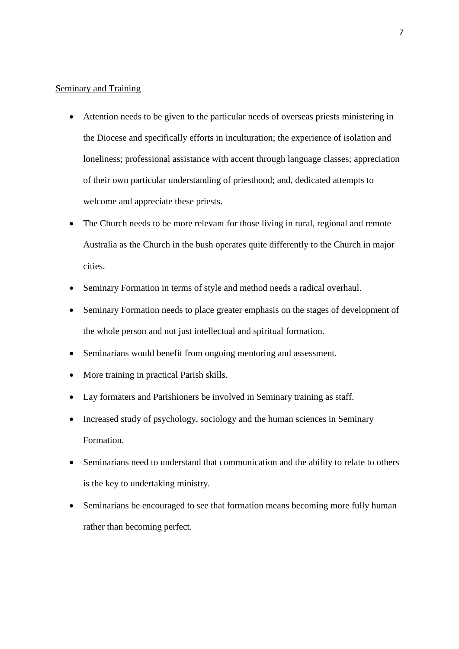#### Seminary and Training

- Attention needs to be given to the particular needs of overseas priests ministering in the Diocese and specifically efforts in inculturation; the experience of isolation and loneliness; professional assistance with accent through language classes; appreciation of their own particular understanding of priesthood; and, dedicated attempts to welcome and appreciate these priests.
- The Church needs to be more relevant for those living in rural, regional and remote Australia as the Church in the bush operates quite differently to the Church in major cities.
- Seminary Formation in terms of style and method needs a radical overhaul.
- Seminary Formation needs to place greater emphasis on the stages of development of the whole person and not just intellectual and spiritual formation.
- Seminarians would benefit from ongoing mentoring and assessment.
- More training in practical Parish skills.
- Lay formaters and Parishioners be involved in Seminary training as staff.
- Increased study of psychology, sociology and the human sciences in Seminary Formation.
- Seminarians need to understand that communication and the ability to relate to others is the key to undertaking ministry.
- Seminarians be encouraged to see that formation means becoming more fully human rather than becoming perfect.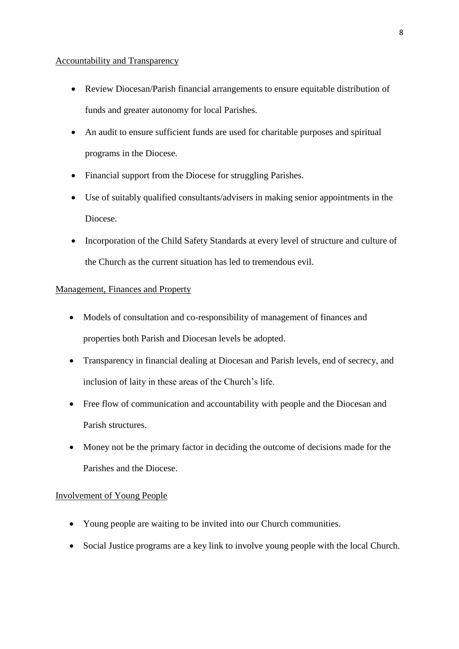#### Accountability and Transparency

- Review Diocesan/Parish financial arrangements to ensure equitable distribution of funds and greater autonomy for local Parishes.
- An audit to ensure sufficient funds are used for charitable purposes and spiritual programs in the Diocese.
- Financial support from the Diocese for struggling Parishes.
- Use of suitably qualified consultants/advisers in making senior appointments in the Diocese.
- Incorporation of the Child Safety Standards at every level of structure and culture of the Church as the current situation has led to tremendous evil.

## Management, Finances and Property

- Models of consultation and co-responsibility of management of finances and properties both Parish and Diocesan levels be adopted.
- Transparency in financial dealing at Diocesan and Parish levels, end of secrecy, and inclusion of laity in these areas of the Church's life.
- Free flow of communication and accountability with people and the Diocesan and Parish structures.
- Money not be the primary factor in deciding the outcome of decisions made for the Parishes and the Diocese.

# Involvement of Young People

- Young people are waiting to be invited into our Church communities.
- Social Justice programs are a key link to involve young people with the local Church.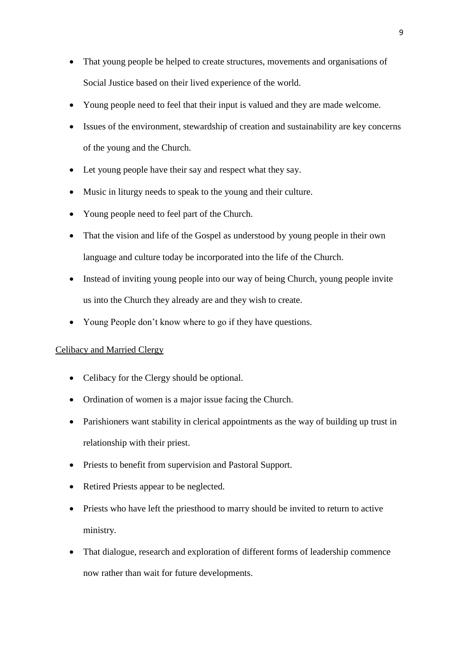- That young people be helped to create structures, movements and organisations of Social Justice based on their lived experience of the world.
- Young people need to feel that their input is valued and they are made welcome.
- Issues of the environment, stewardship of creation and sustainability are key concerns of the young and the Church.
- Let young people have their say and respect what they say.
- Music in liturgy needs to speak to the young and their culture.
- Young people need to feel part of the Church.
- That the vision and life of the Gospel as understood by young people in their own language and culture today be incorporated into the life of the Church.
- Instead of inviting young people into our way of being Church, young people invite us into the Church they already are and they wish to create.
- Young People don't know where to go if they have questions.

## Celibacy and Married Clergy

- Celibacy for the Clergy should be optional.
- Ordination of women is a major issue facing the Church.
- Parishioners want stability in clerical appointments as the way of building up trust in relationship with their priest.
- Priests to benefit from supervision and Pastoral Support.
- Retired Priests appear to be neglected.
- Priests who have left the priesthood to marry should be invited to return to active ministry.
- That dialogue, research and exploration of different forms of leadership commence now rather than wait for future developments.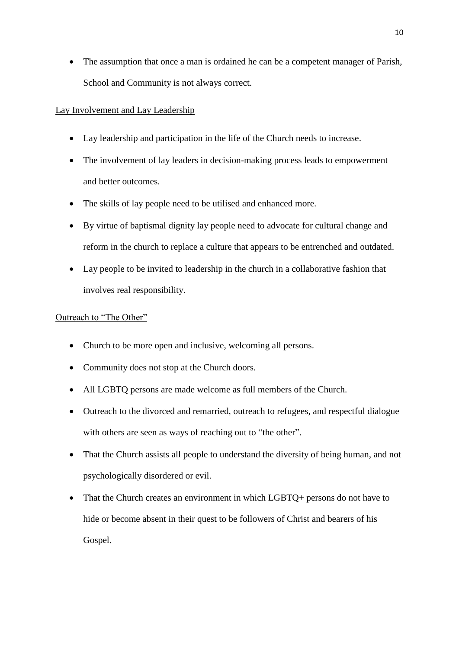The assumption that once a man is ordained he can be a competent manager of Parish, School and Community is not always correct.

# Lay Involvement and Lay Leadership

- Lay leadership and participation in the life of the Church needs to increase.
- The involvement of lay leaders in decision-making process leads to empowerment and better outcomes.
- The skills of lay people need to be utilised and enhanced more.
- By virtue of baptismal dignity lay people need to advocate for cultural change and reform in the church to replace a culture that appears to be entrenched and outdated.
- Lay people to be invited to leadership in the church in a collaborative fashion that involves real responsibility.

## Outreach to "The Other"

- Church to be more open and inclusive, welcoming all persons.
- Community does not stop at the Church doors.
- All LGBTQ persons are made welcome as full members of the Church.
- Outreach to the divorced and remarried, outreach to refugees, and respectful dialogue with others are seen as ways of reaching out to "the other".
- That the Church assists all people to understand the diversity of being human, and not psychologically disordered or evil.
- That the Church creates an environment in which LGBTQ+ persons do not have to hide or become absent in their quest to be followers of Christ and bearers of his Gospel.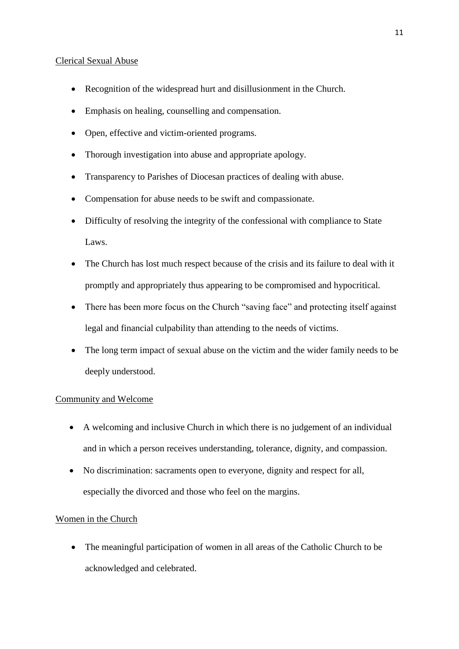#### Clerical Sexual Abuse

- Recognition of the widespread hurt and disillusionment in the Church.
- Emphasis on healing, counselling and compensation.
- Open, effective and victim-oriented programs.
- Thorough investigation into abuse and appropriate apology.
- Transparency to Parishes of Diocesan practices of dealing with abuse.
- Compensation for abuse needs to be swift and compassionate.
- Difficulty of resolving the integrity of the confessional with compliance to State Laws.
- The Church has lost much respect because of the crisis and its failure to deal with it promptly and appropriately thus appearing to be compromised and hypocritical.
- There has been more focus on the Church "saving face" and protecting itself against legal and financial culpability than attending to the needs of victims.
- The long term impact of sexual abuse on the victim and the wider family needs to be deeply understood.

# Community and Welcome

- A welcoming and inclusive Church in which there is no judgement of an individual and in which a person receives understanding, tolerance, dignity, and compassion.
- No discrimination: sacraments open to everyone, dignity and respect for all, especially the divorced and those who feel on the margins.

# Women in the Church

 The meaningful participation of women in all areas of the Catholic Church to be acknowledged and celebrated.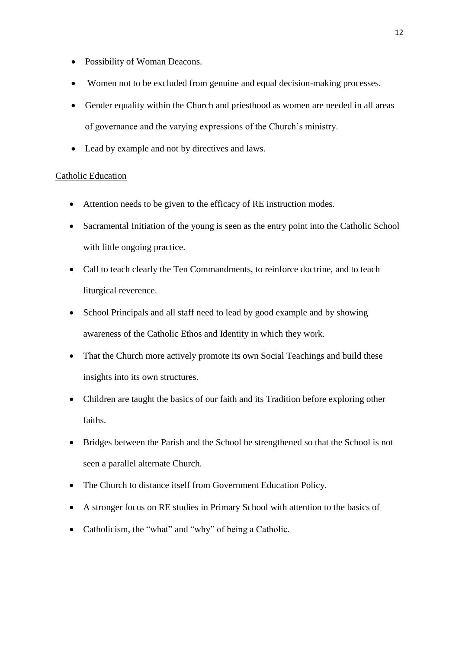- Possibility of Woman Deacons.
- Women not to be excluded from genuine and equal decision-making processes.
- Gender equality within the Church and priesthood as women are needed in all areas of governance and the varying expressions of the Church's ministry.
- Lead by example and not by directives and laws.

#### Catholic Education

- Attention needs to be given to the efficacy of RE instruction modes.
- Sacramental Initiation of the young is seen as the entry point into the Catholic School with little ongoing practice.
- Call to teach clearly the Ten Commandments, to reinforce doctrine, and to teach liturgical reverence.
- School Principals and all staff need to lead by good example and by showing awareness of the Catholic Ethos and Identity in which they work.
- That the Church more actively promote its own Social Teachings and build these insights into its own structures.
- Children are taught the basics of our faith and its Tradition before exploring other faiths.
- Bridges between the Parish and the School be strengthened so that the School is not seen a parallel alternate Church.
- The Church to distance itself from Government Education Policy.
- A stronger focus on RE studies in Primary School with attention to the basics of
- Catholicism, the "what" and "why" of being a Catholic.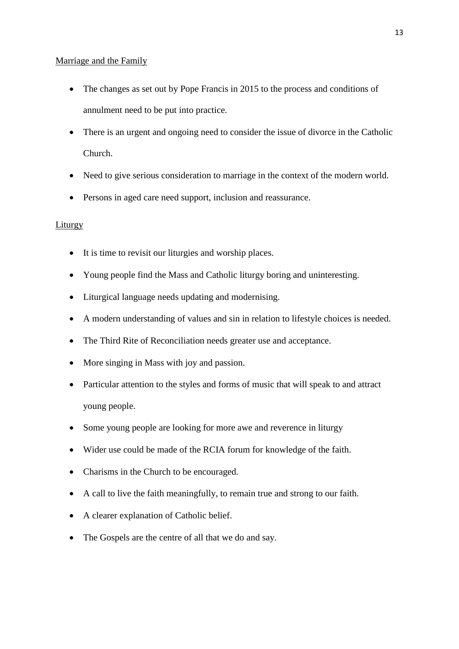#### Marriage and the Family

- The changes as set out by Pope Francis in 2015 to the process and conditions of annulment need to be put into practice.
- There is an urgent and ongoing need to consider the issue of divorce in the Catholic Church.
- Need to give serious consideration to marriage in the context of the modern world.
- Persons in aged care need support, inclusion and reassurance.

# Liturgy

- It is time to revisit our liturgies and worship places.
- Young people find the Mass and Catholic liturgy boring and uninteresting.
- Liturgical language needs updating and modernising.
- A modern understanding of values and sin in relation to lifestyle choices is needed.
- The Third Rite of Reconciliation needs greater use and acceptance.
- More singing in Mass with joy and passion.
- Particular attention to the styles and forms of music that will speak to and attract young people.
- Some young people are looking for more awe and reverence in liturgy
- Wider use could be made of the RCIA forum for knowledge of the faith.
- Charisms in the Church to be encouraged.
- A call to live the faith meaningfully, to remain true and strong to our faith.
- A clearer explanation of Catholic belief.
- The Gospels are the centre of all that we do and say.